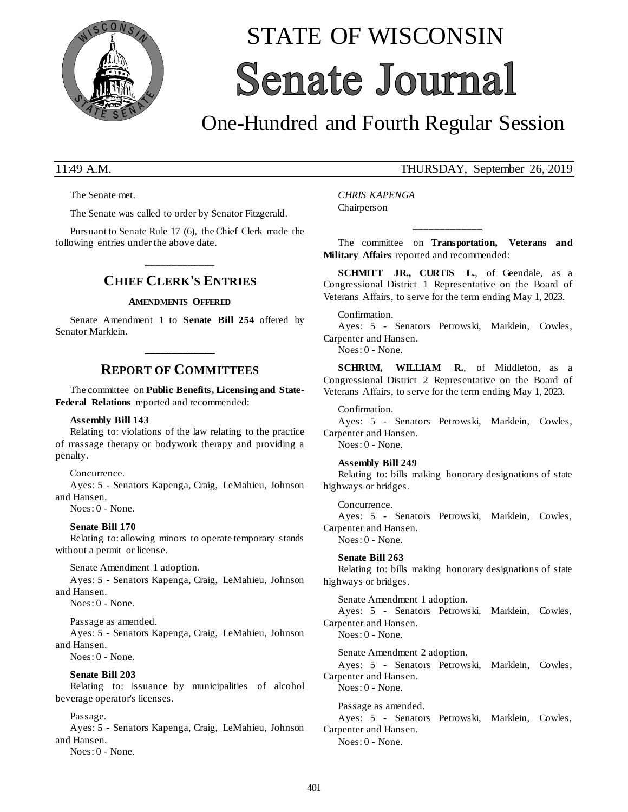

# STATE OF WISCONSIN **Senate Journal**

# One-Hundred and Fourth Regular Session

The Senate met.

The Senate was called to order by Senator Fitzgerald.

Pursuant to Senate Rule 17 (6), the Chief Clerk made the following entries under the above date.

# **\_\_\_\_\_\_\_\_\_\_\_\_\_ CHIEF CLERK'S ENTRIES**

#### **AMENDMENTS OFFERED**

Senate Amendment 1 to **Senate Bill 254** offered by Senator Marklein.

# **\_\_\_\_\_\_\_\_\_\_\_\_\_ REPORT OF COMMITTEES**

The committee on **Public Benefits, Licensing and State-Federal Relations** reported and recommended:

#### **Assembly Bill 143**

Relating to: violations of the law relating to the practice of massage therapy or bodywork therapy and providing a penalty.

Concurrence.

Ayes: 5 - Senators Kapenga, Craig, LeMahieu, Johnson and Hansen.

Noes: 0 - None.

#### **Senate Bill 170**

Relating to: allowing minors to operate temporary stands without a permit or license.

Senate Amendment 1 adoption.

Ayes: 5 - Senators Kapenga, Craig, LeMahieu, Johnson and Hansen.

Noes: 0 - None.

Passage as amended.

Ayes: 5 - Senators Kapenga, Craig, LeMahieu, Johnson and Hansen.

Noes: 0 - None.

#### **Senate Bill 203**

Relating to: issuance by municipalities of alcohol beverage operator's licenses.

#### Passage.

Ayes: 5 - Senators Kapenga, Craig, LeMahieu, Johnson and Hansen.

Noes: 0 - None.

### 11:49 A.M. THURSDAY, September 26, 2019

*CHRIS KAPENGA* Chairperson

The committee on **Transportation, Veterans and Military Affairs** reported and recommended:

**\_\_\_\_\_\_\_\_\_\_\_\_\_**

**SCHMITT JR., CURTIS L.**, of Geendale, as a Congressional District 1 Representative on the Board of Veterans Affairs, to serve for the term ending May 1, 2023.

#### Confirmation.

Ayes: 5 - Senators Petrowski, Marklein, Cowles, Carpenter and Hansen.

Noes: 0 - None.

**SCHRUM, WILLIAM R.**, of Middleton, as a Congressional District 2 Representative on the Board of Veterans Affairs, to serve for the term ending May 1, 2023.

Confirmation.

Ayes: 5 - Senators Petrowski, Marklein, Cowles, Carpenter and Hansen. Noes: 0 - None.

#### **Assembly Bill 249**

Relating to: bills making honorary designations of state highways or bridges.

Concurrence. Ayes: 5 - Senators Petrowski, Marklein, Cowles, Carpenter and Hansen. Noes: 0 - None.

**Senate Bill 263** Relating to: bills making honorary designations of state highways or bridges.

Senate Amendment 1 adoption. Ayes: 5 - Senators Petrowski, Marklein, Cowles, Carpenter and Hansen.

Noes: 0 - None.

Senate Amendment 2 adoption. Ayes: 5 - Senators Petrowski, Marklein, Cowles,

Carpenter and Hansen. Noes: 0 - None.

Passage as amended. Ayes: 5 - Senators Petrowski, Marklein, Cowles, Carpenter and Hansen.

Noes: 0 - None.